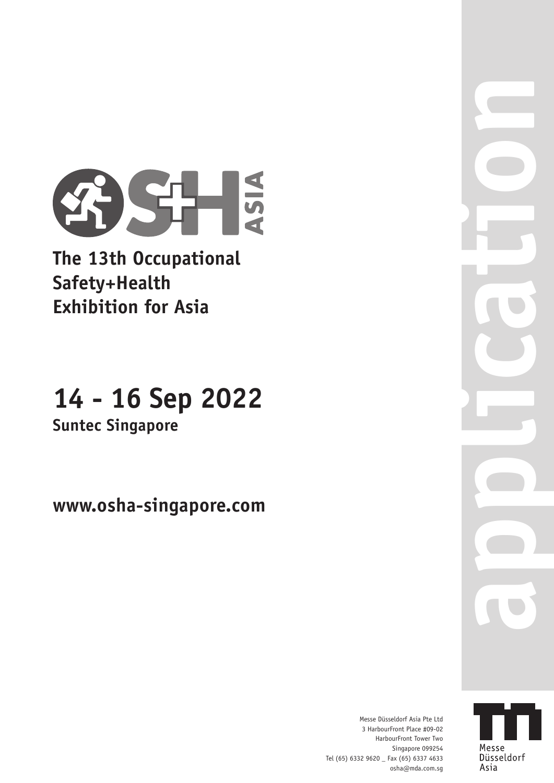

**The 13th Occupational Safety+Health Exhibition for Asia**

# **14 - 16 Sep 2022**

**Suntec Singapore**

**www.osha-singapore.com**

**application**

Messe Düsseldorf Asia Pte Ltd 3 HarbourFront Place #09-02 HarbourFront Tower Two Singapore 099254 Tel (65) 6332 9620 \_ Fax (65) 6337 4633 osha@mda.com.sg

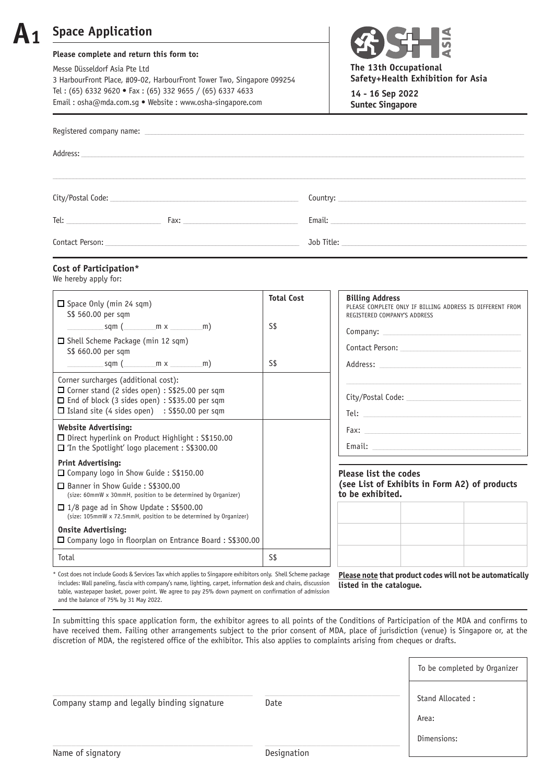## **A1 Space Application**

### **Please complete and return this form to:**

Messe Düsseldorf Asia Pte Ltd 3 HarbourFront Place, #09-02, HarbourFront Tower Two, Singapore 099254 Tel : (65) 6332 9620 **•** Fax : (65) 332 9655 / (65) 6337 4633 Email : osha@mda.com.sg **•** Website : www.osha-singapore.com



**The 13th Occupational Safety+Health Exhibition for Asia**

**14 - 16 Sep 2022 Suntec Singapore**

|                                                                                                                                                                                                                                                  | Address: 2008 and 2008 and 2008 and 2008 and 2008 and 2008 and 2008 and 2008 and 2008 and 2008 and 2008 and 20 |                                                                                                                                                                                                                                |
|--------------------------------------------------------------------------------------------------------------------------------------------------------------------------------------------------------------------------------------------------|----------------------------------------------------------------------------------------------------------------|--------------------------------------------------------------------------------------------------------------------------------------------------------------------------------------------------------------------------------|
|                                                                                                                                                                                                                                                  |                                                                                                                |                                                                                                                                                                                                                                |
|                                                                                                                                                                                                                                                  | City/Postal Code: 2008 2008 2010 2010 2021 2022 2023 2024 2022 2023 2024 2022 2023 2024 2022 2023 20           |                                                                                                                                                                                                                                |
| $\begin{tabular}{c} Tel: \end{tabular}$                                                                                                                                                                                                          |                                                                                                                | Email: Email: Email: Email: Email: Email: Email: Email: Email: Email: Email: Email: Email: Email: Email: Email: Email: Email: Email: Email: Email: Email: Email: Email: Email: Email: Email: Email: Email: Email: Email: Email |
| Contact Person:<br>the control of the control of the control of the control of the control of the control of the control of the control of the control of the control of the control of the control of the control of the control of the control |                                                                                                                | Job Title: <u>www.communities</u>                                                                                                                                                                                              |

### **Cost of Participation\***

We hereby apply for:

| $\Box$ Space Only (min 24 sqm)<br>S\$ 560.00 per sqm                                                                                                                                                           | <b>Total Cost</b> | <b>Billing Address</b><br>PLEASE COMPLETE ONLY IF BILLING ADDRESS IS DIFFERENT FROM<br>REGISTERED COMPANY'S ADDRESS                                                                                                            |  |  |
|----------------------------------------------------------------------------------------------------------------------------------------------------------------------------------------------------------------|-------------------|--------------------------------------------------------------------------------------------------------------------------------------------------------------------------------------------------------------------------------|--|--|
| sqm (mxm)                                                                                                                                                                                                      | S\$               | Company: 2008 Company:                                                                                                                                                                                                         |  |  |
| □ Shell Scheme Package (min 12 sqm)<br>S\$ 660.00 per sqm                                                                                                                                                      |                   | Contact Person: 2008                                                                                                                                                                                                           |  |  |
| sqm (mx m)                                                                                                                                                                                                     | S\$               | Address: National Address: National Address: National Address: National Address: National Address: N                                                                                                                           |  |  |
| Corner surcharges (additional cost):<br>$\Box$ Corner stand (2 sides open) : S\$25.00 per sqm<br>$\Box$ End of block (3 sides open) : S\$35.00 per sqm<br>$\Box$ Island site (4 sides open) : S\$50.00 per sqm |                   | City/Postal Code:                                                                                                                                                                                                              |  |  |
| <b>Website Advertising:</b><br>□ Direct hyperlink on Product Highlight : S\$150.00<br>$\Box$ 'In the Spotlight' logo placement : S\$300.00                                                                     |                   | Email: Email: Email: Email: Email: Email: Email: Email: Email: Email: Email: Email: Email: Email: Email: Email: Email: Email: Email: Email: Email: Email: Email: Email: Email: Email: Email: Email: Email: Email: Email: Email |  |  |
| <b>Print Advertising:</b><br>□ Company logo in Show Guide: S\$150.00                                                                                                                                           |                   | <b>Please list the codes</b>                                                                                                                                                                                                   |  |  |
| □ Banner in Show Guide: S\$300.00<br>(size: 60mmW x 30mmH, position to be determined by Organizer)                                                                                                             |                   | (see List of Exhibits in Form A2) of products<br>to be exhibited.                                                                                                                                                              |  |  |
| $\Box$ 1/8 page ad in Show Update: S\$500.00<br>(size: 105mmW x 72.5mmH, position to be determined by Organizer)                                                                                               |                   |                                                                                                                                                                                                                                |  |  |
| <b>Onsite Advertising:</b>                                                                                                                                                                                     |                   |                                                                                                                                                                                                                                |  |  |
| □ Company logo in floorplan on Entrance Board : S\$300.00                                                                                                                                                      |                   |                                                                                                                                                                                                                                |  |  |
| Total                                                                                                                                                                                                          | S\$               |                                                                                                                                                                                                                                |  |  |

\* Cost does not include Goods & Services Tax which applies to Singapore exhibitors only. Shell Scheme package includes: Wall paneling, fascia with company's name, lighting, carpet, information desk and chairs, discussion table, wastepaper basket, power point. We agree to pay 25% down payment on confirmation of admission and the balance of 75% by 31 May 2022.

**Please note that product codes will not be automatically listed in the catalogue.**

In submitting this space application form, the exhibitor agrees to all points of the Conditions of Participation of the MDA and confirms to have received them. Failing other arrangements subject to the prior consent of MDA, place of jurisdiction (venue) is Singapore or, at the discretion of MDA, the registered office of the exhibitor. This also applies to complaints arising from cheques or drafts.

|                                             |             | To be completed by Organizer |
|---------------------------------------------|-------------|------------------------------|
| Company stamp and legally binding signature | Date        | Stand Allocated:             |
|                                             |             | Area:                        |
|                                             |             | Dimensions:                  |
| Name of signatory                           | Designation |                              |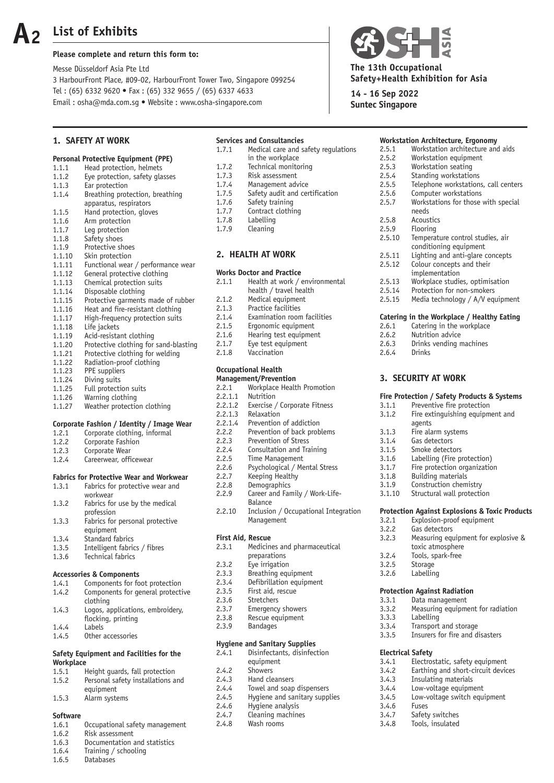# **A2**

### **List of Exhibits**

### **Please complete and return this form to:**

Messe Düsseldorf Asia Pte Ltd 3 HarbourFront Place, #09-02, HarbourFront Tower Two, Singapore 099254 Tel : (65) 6332 9620 **•** Fax : (65) 332 9655 / (65) 6337 4633 Email : osha@mda.com.sg **•** Website : www.osha-singapore.com

### **1. SAFETY AT WORK**

### **Personal Protective Equipment (PPE)**<br>1.1.1 **Head protection**, helmets

- 1.1.1 Head protection, helmets<br>1.1.2 Eve protection, safety glass Eye protection, safety glasses 1.1.3 Ear protection 1.1.4 Breathing protection, breathing apparatus, respirators<br>1.1.5 Hand protection, glove Hand protection, gloves 1.1.6 Arm protection<br>1.1.7 Leg protection Leg protection 1.1.8 Safety shoes 1.1.9 Protective shoes<br>1.1.10 Skin protection Skin protection 1.1.11 Functional wear / performance wear
- 
- 1.1.12 General protective clothing<br>1 1 1 13 Chemical protection suits Chemical protection suits
- 
- 1.1.14 Disposable clothing<br>1.1.15 Protective garments 1.1.15 Protective garments made of rubber<br>1.1.16 Heat and fire-resistant clothing
- Heat and fire-resistant clothing
- 1.1.17 High-frequency protection suits
- 1.1.18 Life jackets
- 1.1.19 Acid-resistant clothing
- 1.1.20 Protective clothing for sand-blasting
- 1.1.21 Protective clothing for welding<br>1.1.22 Radiation-proof clothing
- 1.1.22 Radiation-proof clothing<br>1.1.23 PPE suppliers PPE suppliers
- 
- 1.1.24 Diving suits<br>1.1.25 Full protecti Full protection suits
- 1.1.26 Warning clothing
- 1.1.27 Weather protection clothing

### **Corporate Fashion / Identity / Image Wear**

- 1.2.1 Corporate clothing, informal<br>1.2.2 Corporate Fashion
- Corporate Fashion
- 1.2.3 Corporate Wear
- 1.2.4 Careerwear, officewear

### **Fabrics for Protective Wear and Workwear**

| 1.3.1 | Fabrics for protective wear and |
|-------|---------------------------------|
|       | workwear                        |
| 1.3.2 | Fabrics for use by the medical  |
|       | profession                      |
| 1.3.3 | Fabrics for personal protective |
|       | equipment                       |
| 1.3.4 | Standard fabrics                |
| 1.3.5 | Intelligent fabrics / fibres    |
| 1.3.6 | Technical fabrics               |

### **Accessories & Components**

| 1.4.1 | Components for foot protection    |
|-------|-----------------------------------|
| 1.4.2 | Components for general protective |
|       | clothing                          |
| 1.4.3 | Logos, applications, embroidery,  |
|       | flocking, printing                |
| 1.4.4 | Labels                            |
| 1.4.5 | Other accessories                 |
|       |                                   |

### **Safety Equipment and Facilities for the Workplace**

| 1.5.1 | Height quards, fall protection    |
|-------|-----------------------------------|
| 1.5.2 | Personal safety installations and |

- equipment
- 1.5.3 Alarm systems

### **Software**

- 1.6.1 Occupational safety management
- 1.6.2 Risk assessment
- 1.6.3 Documentation and statistics
- 1.6.4 Training / schooling<br>1.6.5 Databases
- **Databases**
- **Services and Consultancies**<br>1.7.1 Medical care and s Medical care and safety regulations in the workplace<br>1.7.2 Technical monito Technical monitoring 1.7.3 Risk assessment
- 1.7.4 Management advice<br>1.7.5 Safety audit and cer
- Safety audit and certification
- 1.7.6 Safety training
- 1.7.7 Contract clothing<br>1.7.8 Labelling
- Labelling
- 1.7.9 Cleaning

### **2. HEALTH AT WORK**

### **Works Doctor and Practice**

| 2.1.1 | Health at work / environmental |
|-------|--------------------------------|
|       | health / travel health         |
| 2.1.2 | Medical equipment              |
| 2.1.3 | Practice facilities            |
| 2.1.4 | Examination room facilities    |
| 2.1.5 | Ergonomic equipment            |
| 216   | Hearing test equipment         |

- 2.1.6 Hearing test equipment
- 2.1.7 Eye test equipment
- 2.1.8 Vaccination

### **Occupational Health Management/Prevention**

### 2.2.1 Workplace Health Promotion

- 
- 2.2.1.1 Nutrition<br> $2.2.1.2$  Exercise Exercise / Corporate Fitness
	-
- 2.2.1.3 Relaxation<br>2.2.1.4 Prevention 2.2.1.4 Prevention of addiction<br>2.2.2 Prevention of back prob
- Prevention of back problems
- 2.2.3 Prevention of Stress
- 2.2.4 Consultation and Training
- 2.2.5 Time Management
- 2.2.6 Psychological / Mental Stress
- 2.2.7 Keeping Healthy<br>2.2.8 Demographics
- 2.2.8 Demographics<br>2.2.9 Career and Far
- Career and Family / Work-Life-Balance<br>2.2.10 Inclusio
- Inclusion / Occupational Integration Management

### **First Aid, Rescue**

- 2.3.1 Medicines and pharmaceutical
- preparations<br>
2.3.2 Eve irrigation
- Eye irrigation
- 2.3.3 Breathing equipment
- 2.3.4 Defibrillation equipment<br> $2.3.5$  First aid rescue
- First aid, rescue
- 2.3.6 Stretchers<br>2.3.7 Emergency
- Emergency showers
- 2.3.8 Rescue equipment
- 2.3.9 Bandages

### **Hygiene and Sanitary Supplies**

| 2.4.1 | Disinfectants, disinfection |  |  |
|-------|-----------------------------|--|--|
|       | aguinmant                   |  |  |

- equipment<br>2.4.2 Showers
- 2.4.2 Showers<br>2.4.3 Hand cle Hand cleansers
- 
- 2.4.4 Towel and soap dispensers<br>2.4.5 Hygiene and sanitary sunnl Hygiene and sanitary supplies
- 2.4.6 Hygiene analysis
- 2.4.7 Cleaning machines
- 2.4.8 Wash rooms



**The 13th Occupational Safety+Health Exhibition for Asia**

**14 - 16 Sep 2022 Suntec Singapore**

|                                            | <b>Workstation Architecture, Ergonomy</b> |  |  |
|--------------------------------------------|-------------------------------------------|--|--|
| 2.5.1                                      | Workstation architecture and aids         |  |  |
| 2.5.2                                      | Workstation equipment                     |  |  |
| 2.5.3                                      | Workstation seating                       |  |  |
| 2.5.4                                      | Standing workstations                     |  |  |
| 2.5.5                                      | Telephone workstations, call centers      |  |  |
| 2.5.6                                      | Computer workstations                     |  |  |
| 2.5.7                                      | Workstations for those with special       |  |  |
|                                            | needs                                     |  |  |
| 2.5.8                                      | Acoustics                                 |  |  |
| 2.5.9                                      | Flooring                                  |  |  |
| 2.5.10                                     | Temperature control studies, air          |  |  |
|                                            | conditioning equipment                    |  |  |
| 2.5.11                                     | Lighting and anti-glare concepts          |  |  |
| 2.5.12                                     | Colour concepts and their                 |  |  |
|                                            | implementation                            |  |  |
| 2.5.13                                     | Workplace studies, optimisation           |  |  |
| 2.5.14                                     | Protection for non-smokers                |  |  |
| 2.5.15                                     | Media technology / A/V equipment          |  |  |
| Catering in the Workplace / Healthy Eating |                                           |  |  |

- 2.6.1 Catering in the workplace<br>2.6.2 Nutrition advice Nutrition advice
- 
- 2.6.3 Drinks vending machines<br>2.6.4 Drinks Drinks

### **3. SECURITY AT WORK**

### **Fire Protection / Safety Products & Systems**

| 3.1.1                                                     | Preventive fire protection       |  |  |
|-----------------------------------------------------------|----------------------------------|--|--|
| 3.1.2                                                     | Fire extinguishing equipment and |  |  |
|                                                           | agents                           |  |  |
| 3.1.3                                                     | Fire alarm systems               |  |  |
| 3.1.4                                                     | Gas detectors                    |  |  |
| 3.1.5                                                     | Smoke detectors                  |  |  |
| 3.1.6                                                     | Labelling (Fire protection)      |  |  |
| 3.1.7                                                     | Fire protection organization     |  |  |
| 3.1.8                                                     | <b>Building materials</b>        |  |  |
| 3.1.9                                                     | Construction chemistry           |  |  |
| 3.1.10                                                    | Structural wall protection       |  |  |
| <b>Protection Against Explosions &amp; Toxic Products</b> |                                  |  |  |
|                                                           |                                  |  |  |

Measuring equipment for explosive &

Measuring equipment for radiation

3.2.1 Explosion-proof equipment

3.2.2 Gas detectors<br>3.2.3 Measuring equ

toxic atmosphere<br>3.2.4 Tools, spark-free 3.2.4 Tools, spark-free<br>3.2.5 Storage Storage 3.2.6 Labelling

**Protection Against Radiation** 3.3.1 Data management<br>3.3.2 Measuring equipm

3.3.4 Transport and storage 3.3.5 Insurers for fire and disasters

3.4.1 Electrostatic, safety equipment<br>3.4.2 Earthing and short-circuit devic 3.4.2 Earthing and short-circuit devices<br>3.4.3 Insulating materials Insulating materials 3.4.4 Low-voltage equipment<br>3.4.5 Low-voltage switch equ

Low-voltage switch equipment

3.3.3 Labelling

**Electrical Safety**

3.4.6 Fuses

3.4.7 Safety switches<br>3.4.8 Tools, insulated Tools, insulated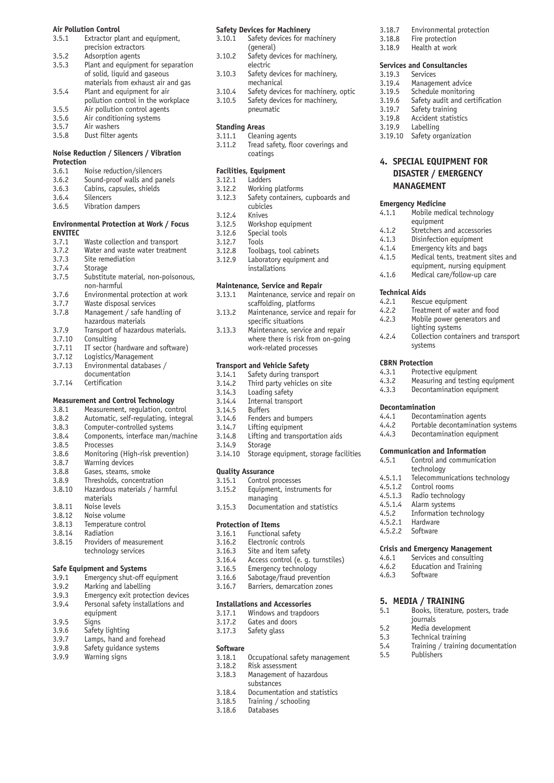### **Air Pollution Control**<br>2.5.1 **Extractor pl**

| Extractor plant and equipment,     |
|------------------------------------|
| precision extractors               |
| Adsorption agents                  |
| Plant and equipment for separation |
| of solid, liquid and gaseous       |
| materials from exhaust air and gas |
| Plant and equipment for air        |
| pollution control in the workplace |
| Air pollution control agents       |
| Air conditioning systems           |
| Air washers                        |
|                                    |

3.5.8 Dust filter agents

### **Noise Reduction / Silencers / Vibration Protection**

| 3.6.1 |  | Noise reduction/silencers |  |
|-------|--|---------------------------|--|
| - - - |  |                           |  |

- 3.6.2 Sound-proof walls and panels<br>3.6.3 Cabins, capsules, shields
- Cabins, capsules, shields
- 3.6.4 Silencers
- 3.6.5 Vibration dampers

### **Environmental Protection at Work / Focus ENVITEC**

| 3.7.1   | Waste collection and transport                     |
|---------|----------------------------------------------------|
| 3.7.2   | Water and waste water treatment                    |
| 3.7.3   | Site remediation                                   |
| 3.7.4   | <b>Storage</b>                                     |
| 3.7.5   | Substitute material, non-poisonous,<br>non-harmful |
|         |                                                    |
| 3.7.6   | Environmental protection at work                   |
| 3.7.7   | Waste disposal services                            |
| 3.7.8   | Management / safe handling of                      |
|         | hazardous materials                                |
| 3.7.9   | Transport of hazardous materials.                  |
| 3.7.10  | Consulting                                         |
| 3.7.11  | IT sector (hardware and software)                  |
| 3.7.12  | Logistics/Management                               |
| 3.7.13  | Environmental databases /                          |
|         | documentation                                      |
| n 7 1 / | مرمانية فالمساور                                   |

3.7.14 Certification

### **Measurement and Control Technology**

| Measurement, regulation, control |
|----------------------------------|
|                                  |

- 3.8.2 Automatic, self-regulating, integral
- 3.8.3 Computer-controlled systems<br>3.8.4 Components, interface man/r
- 3.8.4 Components, interface man/machine
- 3.8.5 Processes 3.8.6 Monitoring (High-risk prevention)<br>3.8.7 Warning devices
- 3.8.7 Warning devices<br>3.8.8 Gases, steams, s
- Gases, steams, smoke
- 3.8.9 Thresholds, concentration<br>3.8.10 Hazardous materials / hara
- Hazardous materials / harmful
- materials<br>3.8.11 Noise leve
- 3.8.11 Noise levels<br>3.8.12 Noise volum
- 3.8.12 Noise volume<br>3.8.13 Temperature
- 3.8.13 Temperature control<br>3.8.14 Radiation
- 3.8.14 Radiation<br>3.8.15 Providers Providers of measurement technology services

### **Safe Equipment and Systems**<br>3.9.1 Emergency shut-off e

- .<br>Emergency shut-off equipment
- 3.9.2 Marking and labelling<br>3.9.3 Emergency exit protec
- 3.9.3 Emergency exit protection devices<br>3.9.4 Personal safety installations and
- Personal safety installations and
- equipment<br>Sians
- $3.9.5$
- 3.9.6 Safety lighting<br>3.9.7 Lamps, hand a
- 3.9.7 Lamps, hand and forehead<br>3.9.8 Safety quidance systems
- Safety quidance systems
- 3.9.9 Warning signs

### **Safety Devices for Machinery**

| 3.10.1 | Safety devices for machinery        |
|--------|-------------------------------------|
|        | (general)                           |
| 3.10.2 | Safety devices for machinery,       |
|        | electric                            |
| 3.10.3 | Safety devices for machinery,       |
|        | mechanical                          |
| 3.10.4 | Safety devices for machinery, optic |
|        |                                     |

3.10.5 Safety devices for machinery, pneumatic

### **Standing Areas**<br>3.11.1 Cleani

- Cleaning agents
- 3.11.2 Tread safety, floor coverings and coatings

### **Facilities, Equipment**

- 3.12.1 Ladders<br>3.12.2 Working
	-
- 3.12.2 Working platforms<br>3.12.3 Safety containers, Safety containers, cupboards and cubicles
- 3.12.4 Knives<br>3.12.5 Worksh
- 3.12.5 Workshop equipment<br>3.12.6 Special tools Special tools
- 
- 3.12.7 Tools
- 3.12.8 Toolbags, tool cabinets<br>3.12.9 Laboratory equipment a
- Laboratory equipment and installations
- **Maintenance, Service and Repair**
- 3.13.1 Maintenance, service and repair on scaffolding, platforms
- 3.13.2 Maintenance, service and repair for
- specific situations<br>3.13.3 Maintenance servi Maintenance, service and repair where there is risk from on-going work-related processes

### **Transport and Vehicle Safety**

- 3.14.1 Safety during transport<br>3.14.2 Third party vehicles on
- 3.14.2 Third party vehicles on site<br>3.14.3 Loading safety
- Loading safety
- 3.14.4 Internal transport<br>3.14.5 Buffers
- **Buffers**
- 3.14.6 Fenders and bumpers
- 3.14.7 Lifting equipment<br>3.14.8 Lifting and transpo
- Lifting and transportation aids
- 3.14.9 Storage<br>3.14.10 Storage
- Storage equipment, storage facilities

### **Quality Assurance**

| 3.15.1 | Control processes          |
|--------|----------------------------|
| 3.15.2 | Equipment, instruments for |
|        | maxmax                     |

managing<br>3.15.3 Document Documentation and statistics

### **Protection of Items**<br>3.16.1 **Functional**

- 3.16.1 Functional safety<br>3.16.2 Electronic control
- 3.16.2 Electronic controls<br>3.16.3 Site and item safet
- Site and item safety
- 3.16.4 Access control (e. g. turnstiles)
- 3.16.5 Emergency technology<br>3.16.6 Sabotage/fraud preven
- Sabotage/fraud prevention
- 3.16.7 Barriers, demarcation zones

### **Installations and Accessories**

- 3.17.1 Windows and trapdoors
- 3.17.2 Gates and doors
- 3.17.3 Safety glass

### **Software**<br>3.18.1

- 3.18.1 Occupational safety management<br>3.18.2 Risk assessment
- Risk assessment
- 3.18.3 Management of hazardous
- substances<br>3.18.4 Documenta Documentation and statistics
- 
- 3.18.5 Training / schooling<br>3.18.6 Databases Databases
- 
- 3.18.7 Environmental protection<br>3.18.8 Fire protection
- 3.18.8 Fire protection<br>3.18.9 Health at work
- Health at work

### **Services and Consultancies**<br>3.19.3 Services

- **Services** 3.19.4 Management advice 3.19.5 Schedule monitoring<br>3.19.6 Safety audit and cert 3.19.6 Safety audit and certification<br>3.19.7 Safety training
- 3.19.7 Safety training<br>3.19.8 Accident statis
- 3.19.8 Accident statistics<br>3.19.9 Labelling

**MANAGEMENT**

**Emergency Medicine**

equipment<br>4.1.2 Stretchers

**Technical Aids**

**CBRN Protection**<br>4.3.1 Protecti

**Decontamination**

technology<br>4.5.1.1 Telecommu

 $4.5.2.2$ 

4.5.1.2 Control rooms<br>4.5.1.3 Radio technolo 4.5.1.3 Radio technology<br>4.5.1.4 Alarm systems Alarm systems 4.5.2 Information technology<br>4.5.2.1 Hardware Hardware<br>Software

3.19.9 Labelling<br>3.19.10 Safety or Safety organization

**4. SPECIAL EQUIPMENT FOR DISASTER / EMERGENCY** 

4.1.1 Mobile medical technology

4.1.3 Disinfection equipment<br>4.1.4 Emergency kits and bags Emergency kits and bags 4.1.5 Medical tents, treatment sites and equipment, nursing equipment

4.1.6 Medical care/follow-up care

 lighting systems 4.2.4 Collection containers and transport

4.2.1 Rescue equipment<br>4.2.2 Treatment of water 4.2.2 Treatment of water and food<br>4.2.3 Mobile power generators and Mobile power generators and

systems

4.3.1 Protective equipment<br>4.3.2 Measuring and testing

4.3.3 Decontamination equipment

4.4.1 Decontamination agents<br>4.4.2 Portable decontamination 4.4.2 Portable decontamination systems<br>4.4.3 Decontamination equipment Decontamination equipment

**Communication and Information** 4.5.1 Control and communication

**Crisis and Emergency Management**<br>4.6.1 Services and consulting 4.6.1 Services and consulting<br>4.6.2 Education and Training 4.6.2 Education and Training<br>4.6.3 Software Software

**5. MEDIA / TRAINING**<br>5.1 Books, literature,

 journals 5.2 Media development<br>5.3 Technical training 5.3 Technical training<br>5.4 Training / training

Publishers

Measuring and testing equipment

Telecommunications technology

Books, literature, posters, trade

5.4 Training / training documentation<br>5.5 Publishers

Stretchers and accessories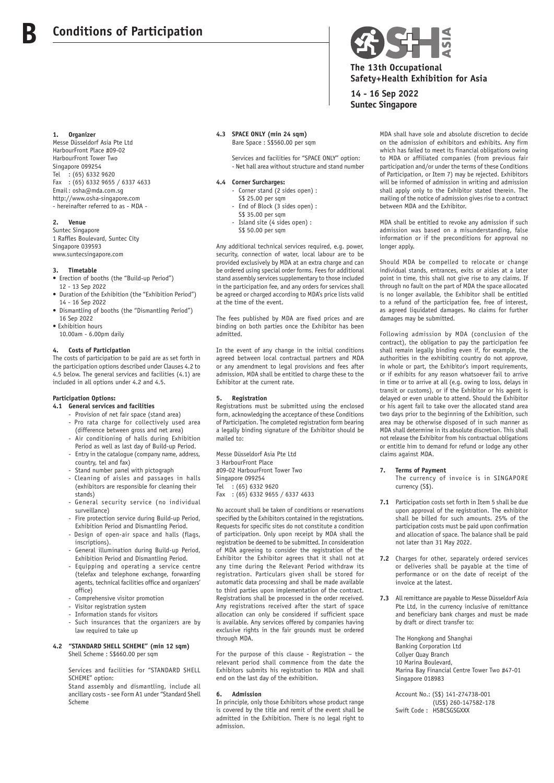#### **1. Organizer**

**B**

Messe Düsseldorf Asia Pte Ltd HarbourFront Place #09-02 HarbourFront Tower Two Singapore 099254 Tel : (65) 6332 9620 Fax : (65) 6332 9655 / 6337 4633 Email : osha@mda.com.sg http://www.osha-singapore.com - hereinafter referred to as - MDA -

#### **2. Venue**

Suntec Singapore 1 Raffles Boulevard, Suntec City Singapore 039593 www.suntecsingapore.com

#### **3. Timetable**

- Erection of booths (the "Build-up Period") 12 - 13 Sep 2022
- Duration of the Exhibition (the "Exhibition Period") 14 - 16 Sep 2022
- Dismantling of booths (the "Dismantling Period") 16 Sep 2022
- Exhibition hours
- 10.00am 6.00pm daily

#### **4. Costs of Participation**

The costs of participation to be paid are as set forth in the participation options described under Clauses 4.2 to 4.5 below. The general services and facilities (4.1) are included in all options under 4.2 and 4.5.

### **Participation Options:**

- **4.1 General services and facilities**
	- Provision of net fair space (stand area) - Pro rata charge for collectively used area
	- (difference between gross and net area) Air conditioning of halls during Exhibition Period as well as last day of Build-up Period.
	- Entry in the catalogue (company name, address, country, tel and fax)
	- Stand number panel with pictograph
	- Cleaning of aisles and passages in halls (exhibitors are responsible for cleaning their stands)
	- General security service (no individual surveillance)
	- Fire protection service during Build-up Period, Exhibition Period and Dismantling Period.
	- Design of open-air space and halls (flags, inscriptions). - General illumination during Build-up Period,
	- Exhibition Period and Dismantling Period.
	- Equipping and operating a service centre (telefax and telephone exchange, forwarding agents, technical facilities office and organizers' office)
	- Comprehensive visitor promotion
	- Visitor registration system
	- Information stands for visitors
	- Such insurances that the organizers are by law required to take up

### **4.2 "STANDARD SHELL SCHEME" (min 12 sqm)**

Shell Scheme : S\$660.00 per sqm

 Services and facilities for "STANDARD SHELL SCHEME" option:

 Stand assembly and dismantling, include all ancillary costs - see Form A1 under "Standard Shell Scheme

#### **4.3 SPACE ONLY (min 24 sqm)** Bare Space : S\$560.00 per sqm

 Services and facilities for "SPACE ONLY" option: - Net hall area without structure and stand number

#### **4.4 Corner Surcharges:**

- Corner stand (2 sides open) : S\$ 25.00 per sqm
- End of Block (3 sides open) :
- S\$ 35.00 per sqm
- Island site (4 sides open) :
- S\$ 50.00 per sqm

Any additional technical services required, e.g. power, security, connection of water, local labour are to be provided exclusively by MDA at an extra charge and can be ordered using special order forms. Fees for additional stand assembly services supplementary to those included in the participation fee, and any orders for services shall be agreed or charged according to MDA's price lists valid at the time of the event.

The fees published by MDA are fixed prices and are binding on both parties once the Exhibitor has been admitted.

In the event of any change in the initial conditions agreed between local contractual partners and MDA or any amendment to legal provisions and fees after admission, MDA shall be entitled to charge these to the Exhibitor at the current rate.

#### **5. Registration**

Registrations must be submitted using the enclosed form, acknowledging the acceptance of these Conditions of Participation. The completed registration form bearing a legally binding signature of the Exhibitor should be mailed to:

Messe Düsseldorf Asia Pte Ltd 3 HarbourFront Place #09-02 HarbourFront Tower Two Singapore 099254 Tel : (65) 6332 9620 Fax : (65) 6332 9655 / 6337 4633

No account shall be taken of conditions or reservations specified by the Exhibitors contained in the registrations. Requests for specific sites do not constitute a condition of participation. Only upon receipt by MDA shall the registration be deemed to be submitted. In consideration of MDA agreeing to consider the registration of the Exhibitor the Exhibitor agrees that it shall not at any time during the Relevant Period withdraw its registration. Particulars given shall be stored for automatic data processing and shall be made available to third parties upon implementation of the contract. Registrations shall be processed in the order received. Any registrations received after the start of space allocation can only be considered if sufficient space is available. Any services offered by companies having exclusive rights in the fair grounds must be ordered through MDA.

For the purpose of this clause - Registration – the relevant period shall commence from the date the Exhibitors submits his registration to MDA and shall end on the last day of the exhibition.

#### **6. Admission**

In principle, only those Exhibitors whose product range is covered by the title and remit of the event shall be admitted in the Exhibition. There is no legal right to admission.



**14 - 16 Sep 2022 Suntec Singapore**

> MDA shall have sole and absolute discretion to decide on the admission of exhibitors and exhibits. Any firm which has failed to meet its financial obligations owing to MDA or affiliated companies (from previous fair participation and/or under the terms of these Conditions of Participation, or Item 7) may be rejected. Exhibitors will be informed of admission in writing and admission shall apply only to the Exhibitor stated therein. The mailing of the notice of admission gives rise to a contract between MDA and the Exhibitor.

> MDA shall be entitled to revoke any admission if such admission was based on a misunderstanding, false information or if the preconditions for approval no longer apply.

> Should MDA be compelled to relocate or change individual stands, entrances, exits or aisles at a later point in time, this shall not give rise to any claims. If through no fault on the part of MDA the space allocated is no longer available, the Exhibitor shall be entitled to a refund of the participation fee, free of interest, as agreed liquidated damages. No claims for further damages may be submitted.

> Following admission by MDA (conclusion of the contract), the obligation to pay the participation fee shall remain legally binding even if, for example, the authorities in the exhibiting country do not approve, in whole or part, the Exhibitor's import requirements, or if exhibits for any reason whatsoever fail to arrive in time or to arrive at all (e.g. owing to loss, delays in transit or customs), or if the Exhibitor or his agent is delayed or even unable to attend. Should the Exhibitor or his agent fail to take over the allocated stand area two days prior to the beginning of the Exhibition, such area may be otherwise disposed of in such manner as MDA shall determine in its absolute discretion. This shall not release the Exhibitor from his contractual obligations or entitle him to demand for refund or lodge any other claims against MDA.

- **7. Terms of Payment**
- The currency of invoice is in SINGAPORE currency (S\$).
- **7.1** Participation costs set forth in Item 5 shall be due upon approval of the registration. The exhibitor shall be billed for such amounts. 25% of the participation costs must be paid upon confirmation and allocation of space. The balance shall be paid not later than 31 May 2022.
- **7.2** Charges for other, separately ordered services or deliveries shall be payable at the time of performance or on the date of receipt of the invoice at the latest.
- **7.3** All remittance are payable to Messe Düsseldorf Asia Pte Ltd, in the currency inclusive of remittance and beneficiary bank charges and must be made by draft or direct transfer to:

 The Hongkong and Shanghai Banking Corporation Ltd Collyer Quay Branch 10 Marina Boulevard, Marina Bay Financial Centre Tower Two #47-01 Singapore 018983

 Account No.: (S\$) 141-274738-001 (US\$) 260-147582-178 Swift Code: HSBCSGSGXXX